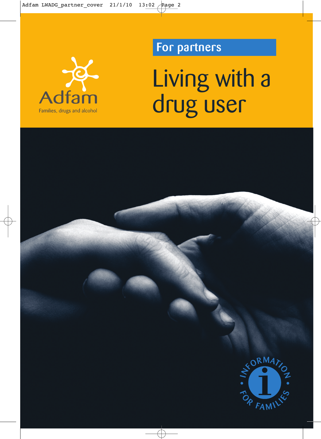

# **Prepartners**

Living with a drug user

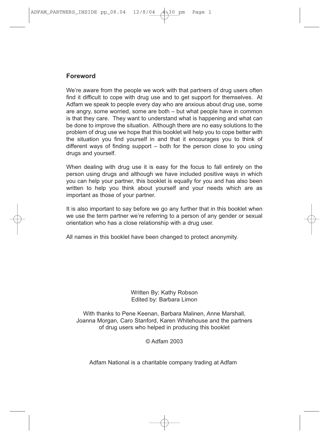## **Foreword**

We're aware from the people we work with that partners of drug users often find it difficult to cope with drug use and to get support for themselves. At Adfam we speak to people every day who are anxious about drug use, some are angry, some worried, some are both – but what people have in common is that they care. They want to understand what is happening and what can be done to improve the situation. Although there are no easy solutions to the problem of drug use we hope that this booklet will help you to cope better with the situation you find yourself in and that it encourages you to think of different ways of finding support – both for the person close to you using drugs and yourself.

When dealing with drug use it is easy for the focus to fall entirely on the person using drugs and although we have included positive ways in which you can help your partner, this booklet is equally for you and has also been written to help you think about yourself and your needs which are as important as those of your partner.

It is also important to say before we go any further that in this booklet when we use the term partner we're referring to a person of any gender or sexual orientation who has a close relationship with a drug user.

All names in this booklet have been changed to protect anonymity.

#### Written By: Kathy Robson Edited by: Barbara Limon

With thanks to Pene Keenan, Barbara Malinen, Anne Marshall, Joanna Morgan, Caro Stanford, Karen Whitehouse and the partners of drug users who helped in producing this booklet

#### © Adfam 2003

Adfam National is a charitable company trading at Adfam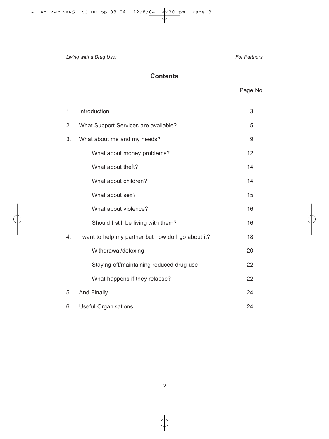## **Contents**

## Page No

| 1. | Introduction                                        | 3  |
|----|-----------------------------------------------------|----|
| 2. | What Support Services are available?                | 5  |
| 3. | What about me and my needs?                         | 9  |
|    | What about money problems?                          | 12 |
|    | What about theft?                                   | 14 |
|    | What about children?                                | 14 |
|    | What about sex?                                     | 15 |
|    | What about violence?                                | 16 |
|    | Should I still be living with them?                 | 16 |
| 4. | I want to help my partner but how do I go about it? | 18 |
|    | Withdrawal/detoxing                                 | 20 |
|    | Staying off/maintaining reduced drug use            | 22 |
|    | What happens if they relapse?                       | 22 |
| 5. | And Finally                                         | 24 |
| 6. | <b>Useful Organisations</b><br>24                   |    |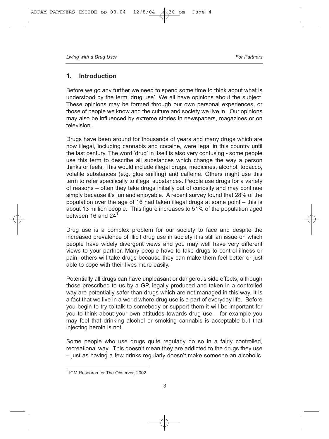## **1. Introduction**

Before we go any further we need to spend some time to think about what is understood by the term 'drug use'. We all have opinions about the subject. These opinions may be formed through our own personal experiences, or those of people we know and the culture and society we live in. Our opinions may also be influenced by extreme stories in newspapers, magazines or on television.

Drugs have been around for thousands of years and many drugs which are now illegal, including cannabis and cocaine, were legal in this country until the last century. The word 'drug' in itself is also very confusing - some people use this term to describe all substances which change the way a person thinks or feels. This would include illegal drugs, medicines, alcohol, tobacco, volatile substances (e.g. glue sniffing) and caffeine. Others might use this term to refer specifically to illegal substances. People use drugs for a variety of reasons – often they take drugs initially out of curiosity and may continue simply because it's fun and enjoyable. A recent survey found that 28% of the population over the age of 16 had taken illegal drugs at some point – this is about 13 million people. This figure increases to 51% of the population aged between 16 and  $24<sup>1</sup>$ .

Drug use is a complex problem for our society to face and despite the increased prevalence of illicit drug use in society it is still an issue on which people have widely divergent views and you may well have very different views to your partner. Many people have to take drugs to control illness or pain; others will take drugs because they can make them feel better or just able to cope with their lives more easily.

Potentially all drugs can have unpleasant or dangerous side effects, although those prescribed to us by a GP, legally produced and taken in a controlled way are potentially safer than drugs which are not managed in this way. It is a fact that we live in a world where drug use is a part of everyday life. Before you begin to try to talk to somebody or support them it will be important for you to think about your own attitudes towards drug use – for example you may feel that drinking alcohol or smoking cannabis is acceptable but that injecting heroin is not.

Some people who use drugs quite regularly do so in a fairly controlled, recreational way. This doesn't mean they are addicted to the drugs they use – just as having a few drinks regularly doesn't make someone an alcoholic.

ICM Research for The Observer, 2002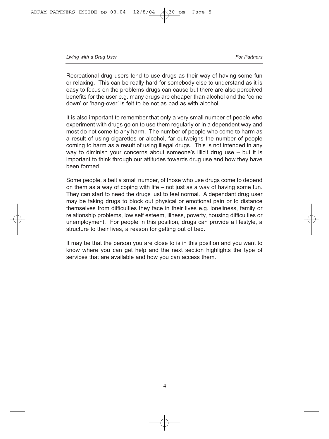Recreational drug users tend to use drugs as their way of having some fun or relaxing. This can be really hard for somebody else to understand as it is easy to focus on the problems drugs can cause but there are also perceived benefits for the user e.g. many drugs are cheaper than alcohol and the 'come down' or 'hang-over' is felt to be not as bad as with alcohol.

It is also important to remember that only a very small number of people who experiment with drugs go on to use them regularly or in a dependent way and most do not come to any harm. The number of people who come to harm as a result of using cigarettes or alcohol, far outweighs the number of people coming to harm as a result of using illegal drugs. This is not intended in any way to diminish your concerns about someone's illicit drug use – but it is important to think through our attitudes towards drug use and how they have been formed.

Some people, albeit a small number, of those who use drugs come to depend on them as a way of coping with life – not just as a way of having some fun. They can start to need the drugs just to feel normal. A dependant drug user may be taking drugs to block out physical or emotional pain or to distance themselves from difficulties they face in their lives e.g. loneliness, family or relationship problems, low self esteem, illness, poverty, housing difficulties or unemployment. For people in this position, drugs can provide a lifestyle, a structure to their lives, a reason for getting out of bed.

It may be that the person you are close to is in this position and you want to know where you can get help and the next section highlights the type of services that are available and how you can access them.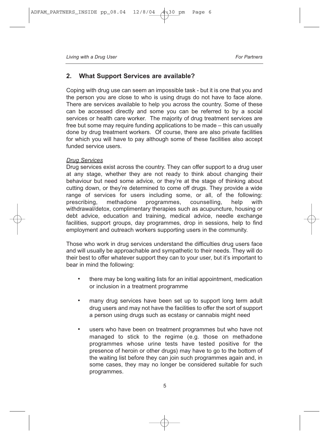## **2. What Support Services are available?**

Coping with drug use can seem an impossible task - but it is one that you and the person you are close to who is using drugs do not have to face alone. There are services available to help you across the country. Some of these can be accessed directly and some you can be referred to by a social services or health care worker. The majority of drug treatment services are free but some may require funding applications to be made – this can usually done by drug treatment workers. Of course, there are also private facilities for which you will have to pay although some of these facilities also accept funded service users.

#### *Drug Services*

Drug services exist across the country. They can offer support to a drug user at any stage, whether they are not ready to think about changing their behaviour but need some advice, or they're at the stage of thinking about cutting down, or they're determined to come off drugs. They provide a wide range of services for users including some, or all, of the following: prescribing, methadone programmes, counselling, help with withdrawal/detox, complimentary therapies such as acupuncture, housing or debt advice, education and training, medical advice, needle exchange facilities, support groups, day programmes, drop in sessions, help to find employment and outreach workers supporting users in the community.

Those who work in drug services understand the difficulties drug users face and will usually be approachable and sympathetic to their needs. They will do their best to offer whatever support they can to your user, but it's important to bear in mind the following:

- there may be long waiting lists for an initial appointment, medication or inclusion in a treatment programme
- many drug services have been set up to support long term adult drug users and may not have the facilities to offer the sort of support a person using drugs such as ecstasy or cannabis might need
- users who have been on treatment programmes but who have not managed to stick to the regime (e.g. those on methadone programmes whose urine tests have tested positive for the presence of heroin or other drugs) may have to go to the bottom of the waiting list before they can join such programmes again and, in some cases, they may no longer be considered suitable for such programmes.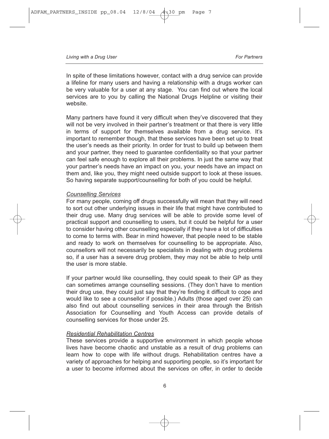In spite of these limitations however, contact with a drug service can provide a lifeline for many users and having a relationship with a drugs worker can be very valuable for a user at any stage. You can find out where the local services are to you by calling the National Drugs Helpline or visiting their website.

Many partners have found it very difficult when they've discovered that they will not be very involved in their partner's treatment or that there is very little in terms of support for themselves available from a drug service. It's important to remember though, that these services have been set up to treat the user's needs as their priority. In order for trust to build up between them and your partner, they need to guarantee confidentiality so that your partner can feel safe enough to explore all their problems. In just the same way that your partner's needs have an impact on you, your needs have an impact on them and, like you, they might need outside support to look at these issues. So having separate support/counselling for both of you could be helpful.

#### *Counselling Services*

For many people, coming off drugs successfully will mean that they will need to sort out other underlying issues in their life that might have contributed to their drug use. Many drug services will be able to provide some level of practical support and counselling to users, but it could be helpful for a user to consider having other counselling especially if they have a lot of difficulties to come to terms with. Bear in mind however, that people need to be stable and ready to work on themselves for counselling to be appropriate. Also, counsellors will not necessarily be specialists in dealing with drug problems so, if a user has a severe drug problem, they may not be able to help until the user is more stable.

If your partner would like counselling, they could speak to their GP as they can sometimes arrange counselling sessions. (They don't have to mention their drug use, they could just say that they're finding it difficult to cope and would like to see a counsellor if possible.) Adults (those aged over 25) can also find out about counselling services in their area through the British Association for Counselling and Youth Access can provide details of counselling services for those under 25.

#### *Residential Rehabilitation Centres*

These services provide a supportive environment in which people whose lives have become chaotic and unstable as a result of drug problems can learn how to cope with life without drugs. Rehabilitation centres have a variety of approaches for helping and supporting people, so it's important for a user to become informed about the services on offer, in order to decide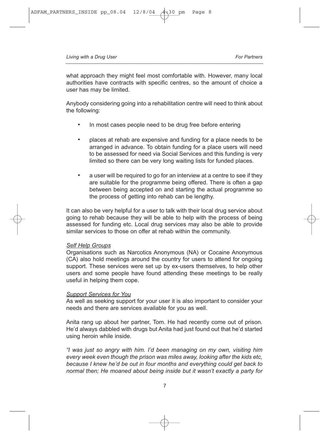what approach they might feel most comfortable with. However, many local authorities have contracts with specific centres, so the amount of choice a user has may be limited.

Anybody considering going into a rehabilitation centre will need to think about the following:

- In most cases people need to be drug free before entering
- places at rehab are expensive and funding for a place needs to be arranged in advance. To obtain funding for a place users will need to be assessed for need via Social Services and this funding is very limited so there can be very long waiting lists for funded places.
- a user will be required to go for an interview at a centre to see if they are suitable for the programme being offered. There is often a gap between being accepted on and starting the actual programme so the process of getting into rehab can be lengthy.

It can also be very helpful for a user to talk with their local drug service about going to rehab because they will be able to help with the process of being assessed for funding etc. Local drug services may also be able to provide similar services to those on offer at rehab within the community.

#### *Self Help Groups*

Organisations such as Narcotics Anonymous (NA) or Cocaine Anonymous (CA) also hold meetings around the country for users to attend for ongoing support. These services were set up by ex-users themselves, to help other users and some people have found attending these meetings to be really useful in helping them cope.

#### *Support Services for You*

As well as seeking support for your user it is also important to consider your needs and there are services available for you as well.

Anita rang up about her partner, Tom. He had recently come out of prison. He'd always dabbled with drugs but Anita had just found out that he'd started using heroin while inside.

*"I was just so angry with him. I'd been managing on my own, visiting him every week even though the prison was miles away, looking after the kids etc, because I knew he'd be out in four months and everything could get back to normal then; He moaned about being inside but it wasn't exactly a party for*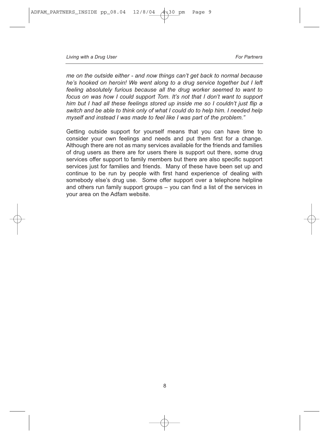*me on the outside either - and now things can't get back to normal because he's hooked on heroin! We went along to a drug service together but I left feeling absolutely furious because all the drug worker seemed to want to focus on was how I could support Tom. It's not that I don't want to support him but I had all these feelings stored up inside me so I couldn't just flip a switch and be able to think only of what I could do to help him. I needed help myself and instead I was made to feel like I was part of the problem."* 

Getting outside support for yourself means that you can have time to consider your own feelings and needs and put them first for a change. Although there are not as many services available for the friends and families of drug users as there are for users there is support out there, some drug services offer support to family members but there are also specific support services just for families and friends. Many of these have been set up and continue to be run by people with first hand experience of dealing with somebody else's drug use. Some offer support over a telephone helpline and others run family support groups – you can find a list of the services in your area on the Adfam website.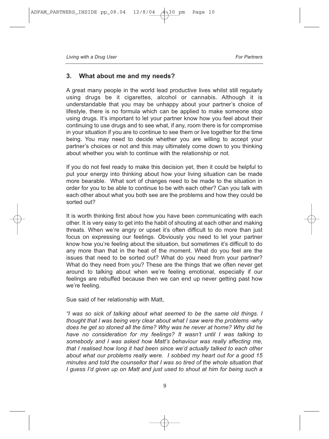## **3. What about me and my needs?**

A great many people in the world lead productive lives whilst still regularly using drugs be it cigarettes, alcohol or cannabis. Although it is understandable that you may be unhappy about your partner's choice of lifestyle, there is no formula which can be applied to make someone stop using drugs. It's important to let your partner know how you feel about their continuing to use drugs and to see what, if any, room there is for compromise in your situation if you are to continue to see them or live together for the time being. You may need to decide whether you are willing to accept your partner's choices or not and this may ultimately come down to you thinking about whether you wish to continue with the relationship or not.

If you do not feel ready to make this decision yet, then it could be helpful to put your energy into thinking about how your living situation can be made more bearable. What sort of changes need to be made to the situation in order for you to be able to continue to be with each other? Can you talk with each other about what you both see are the problems and how they could be sorted out?

It is worth thinking first about how you have been communicating with each other. It is very easy to get into the habit of shouting at each other and making threats. When we're angry or upset it's often difficult to do more than just focus on expressing our feelings. Obviously you need to let your partner know how you're feeling about the situation, but sometimes it's difficult to do any more than that in the heat of the moment. What do you feel are the issues that need to be sorted out? What do you need from your partner? What do they need from you? These are the things that we often never get around to talking about when we're feeling emotional, especially if our feelings are rebuffed because then we can end up never getting past how we're feeling.

Sue said of her relationship with Matt,

*"I was so sick of talking about what seemed to be the same old things. I thought that I was being very clear about what I saw were the problems -why does he get so stoned all the time? Why was he never at home? Why did he have no consideration for my feelings? It wasn't until I was talking to somebody and I was asked how Matt's behaviour was really affecting me, that I realised how long it had been since we'd actually talked to each other about what our problems really were. I sobbed my heart out for a good 15 minutes and told the counsellor that I was so tired of the whole situation that I guess I'd given up on Matt and just used to shout at him for being such a*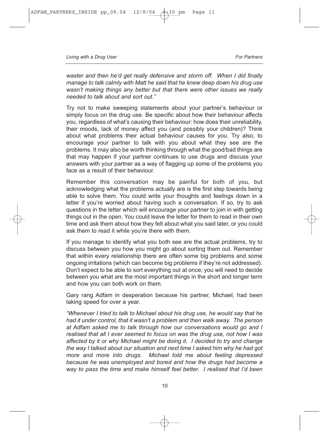*waster and then he'd get really defensive and storm off. When I did finally manage to talk calmly with Matt he said that he knew deep down his drug use wasn't making things any better but that there were other issues we really needed to talk about and sort out."* 

Try not to make sweeping statements about your partner's behaviour or simply focus on the drug use. Be specific about how their behaviour affects you, regardless of what's causing their behaviour: how does their unreliability, their moods, lack of money affect you (and possibly your children)? Think about what problems their actual behaviour causes for you. Try also, to encourage your partner to talk with you about what they see are the problems. It may also be worth thinking through what the good/bad things are that may happen if your partner continues to use drugs and discuss your answers with your partner as a way of flagging up some of the problems you face as a result of their behaviour.

Remember this conversation may be painful for both of you, but acknowledging what the problems actually are is the first step towards being able to solve them. You could write your thoughts and feelings down in a letter if you're worried about having such a conversation. If so, try to ask questions in the letter which will encourage your partner to join in with getting things out in the open. You could leave the letter for them to read in their own time and ask them about how they felt about what you said later, or you could ask them to read it while you're there with them.

If you manage to identify what you both see are the actual problems, try to discuss between you how you might go about sorting them out. Remember that within every relationship there are often some big problems and some ongoing irritations (which can become big problems if they're not addressed). Don't expect to be able to sort everything out at once; you will need to decide between you what are the most important things in the short and longer term and how you can both work on them.

Gary rang Adfam in desperation because his partner, Michael, had been taking speed for over a year.

*"Whenever I tried to talk to Michael about his drug use, he would say that he had it under control, that it wasn't a problem and then walk away. The person at Adfam asked me to talk through how our conversations would go and I realised that all I ever seemed to focus on was the drug use, not how I was affected by it or why Michael might be doing it. I decided to try and change the way I talked about our situation and next time I asked him why he had got more and more into drugs. Michael told me about feeling depressed because he was unemployed and bored and how the drugs had become a way to pass the time and make himself feel better. I realised that I'd been*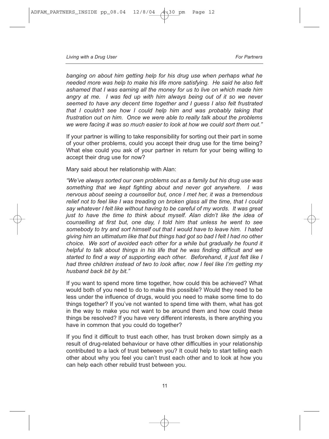*banging on about him getting help for his drug use when perhaps what he needed more was help to make his life more satisfying. He said he also felt ashamed that I was earning all the money for us to live on which made him angry at me. I was fed up with him always being out of it so we never seemed to have any decent time together and I guess I also felt frustrated that I couldn't see how I could help him and was probably taking that frustration out on him. Once we were able to really talk about the problems we were facing it was so much easier to look at how we could sort them out."*

If your partner is willing to take responsibility for sorting out their part in some of your other problems, could you accept their drug use for the time being? What else could you ask of your partner in return for your being willing to accept their drug use for now?

Mary said about her relationship with Alan:

*"We've always sorted our own problems out as a family but his drug use was something that we kept fighting about and never got anywhere. I was nervous about seeing a counsellor but, once I met her, it was a tremendous relief not to feel like I was treading on broken glass all the time, that I could say whatever I felt like without having to be careful of my words. It was great just to have the time to think about myself. Alan didn't like the idea of counselling at first but, one day, I told him that unless he went to see somebody to try and sort himself out that I would have to leave him. I hated giving him an ultimatum like that but things had got so bad I felt I had no other choice. We sort of avoided each other for a while but gradually he found it helpful to talk about things in his life that he was finding difficult and we started to find a way of supporting each other. Beforehand, it just felt like I had three children instead of two to look after, now I feel like I'm getting my husband back bit by bit."* 

If you want to spend more time together, how could this be achieved? What would both of you need to do to make this possible? Would they need to be less under the influence of drugs, would you need to make some time to do things together? If you've not wanted to spend time with them, what has got in the way to make you not want to be around them and how could these things be resolved? If you have very different interests, is there anything you have in common that you could do together?

If you find it difficult to trust each other, has trust broken down simply as a result of drug-related behaviour or have other difficulties in your relationship contributed to a lack of trust between you? It could help to start telling each other about why you feel you can't trust each other and to look at how you can help each other rebuild trust between you.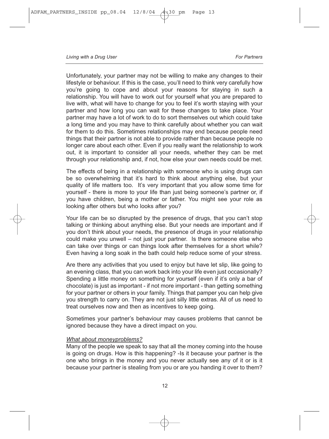Unfortunately, your partner may not be willing to make any changes to their lifestyle or behaviour. If this is the case, you'll need to think very carefully how you're going to cope and about your reasons for staying in such a relationship. You will have to work out for yourself what you are prepared to live with, what will have to change for you to feel it's worth staying with your partner and how long you can wait for these changes to take place. Your partner may have a lot of work to do to sort themselves out which could take a long time and you may have to think carefully about whether you can wait for them to do this. Sometimes relationships may end because people need things that their partner is not able to provide rather than because people no longer care about each other. Even if you really want the relationship to work out, it is important to consider all your needs, whether they can be met through your relationship and, if not, how else your own needs could be met.

The effects of being in a relationship with someone who is using drugs can be so overwhelming that it's hard to think about anything else, but your quality of life matters too. It's very important that you allow some time for yourself - there is more to your life than just being someone's partner or, if you have children, being a mother or father. You might see your role as looking after others but who looks after you?

Your life can be so disrupted by the presence of drugs, that you can't stop talking or thinking about anything else. But your needs are important and if you don't think about your needs, the presence of drugs in your relationship could make you unwell – not just your partner. Is there someone else who can take over things or can things look after themselves for a short while? Even having a long soak in the bath could help reduce some of your stress.

Are there any activities that you used to enjoy but have let slip, like going to an evening class, that you can work back into your life even just occasionally? Spending a little money on something for yourself (even if it's only a bar of chocolate) is just as important - if not more important - than getting something for your partner or others in your family. Things that pamper you can help give you strength to carry on. They are not just silly little extras. All of us need to treat ourselves now and then as incentives to keep going.

Sometimes your partner's behaviour may causes problems that cannot be ignored because they have a direct impact on you.

#### *What about moneyproblems?*

Many of the people we speak to say that all the money coming into the house is going on drugs. How is this happening? -Is it because your partner is the one who brings in the money and you never actually see any of it or is it because your partner is stealing from you or are you handing it over to them?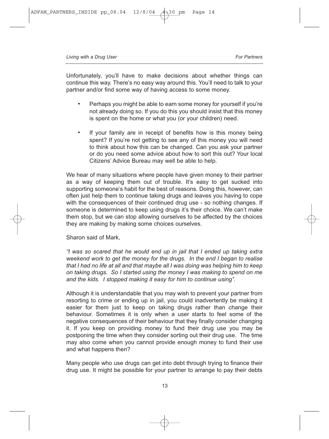Unfortunately, you'll have to make decisions about whether things can continue this way. There's no easy way around this. You'll need to talk to your partner and/or find some way of having access to some money.

- Perhaps you might be able to earn some money for yourself if you're not already doing so. If you do this you should insist that this money is spent on the home or what you (or your children) need.
- If your family are in receipt of benefits how is this money being spent? If you're not getting to see any of this money you will need to think about how this can be changed. Can you ask your partner or do you need some advice about how to sort this out? Your local Citizens' Advice Bureau may well be able to help.

We hear of many situations where people have given money to their partner as a way of keeping them out of trouble. It's easy to get sucked into supporting someone's habit for the best of reasons. Doing this, however, can often just help them to continue taking drugs and leaves you having to cope with the consequences of their continued drug use - so nothing changes. If someone is determined to keep using drugs it's their choice. We can't make them stop, but we can stop allowing ourselves to be affected by the choices they are making by making some choices ourselves.

Sharon said of Mark,

*"I was so scared that he would end up in jail that I ended up taking extra weekend work to get the money for the drugs. In the end I began to realise that I had no life at all and that maybe all I was doing was helping him to keep on taking drugs. So I started using the money I was making to spend on me and the kids. I stopped making it easy for him to continue using".* 

Although it is understandable that you may wish to prevent your partner from resorting to crime or ending up in jail, you could inadvertently be making it easier for them just to keep on taking drugs rather than change their behaviour. Sometimes it is only when a user starts to feel some of the negative consequences of their behaviour that they finally consider changing it. If you keep on providing money to fund their drug use you may be postponing the time when they consider sorting out their drug use. The time may also come when you cannot provide enough money to fund their use and what happens then?

Many people who use drugs can get into debt through trying to finance their drug use. It might be possible for your partner to arrange to pay their debts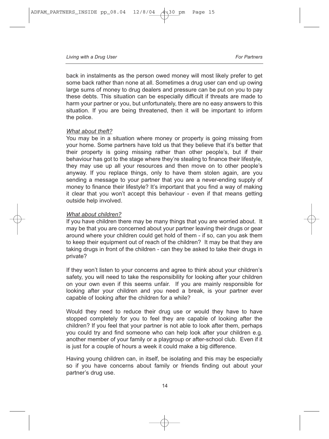back in instalments as the person owed money will most likely prefer to get some back rather than none at all. Sometimes a drug user can end up owing large sums of money to drug dealers and pressure can be put on you to pay these debts. This situation can be especially difficult if threats are made to harm your partner or you, but unfortunately, there are no easy answers to this situation. If you are being threatened, then it will be important to inform the police.

#### *What about theft?*

You may be in a situation where money or property is going missing from your home. Some partners have told us that they believe that it's better that their property is going missing rather than other people's, but if their behaviour has got to the stage where they're stealing to finance their lifestyle, they may use up all your resources and then move on to other people's anyway. If you replace things, only to have them stolen again, are you sending a message to your partner that you are a never-ending supply of money to finance their lifestyle? It's important that you find a way of making it clear that you won't accept this behaviour - even if that means getting outside help involved.

#### *What about children?*

If you have children there may be many things that you are worried about. It may be that you are concerned about your partner leaving their drugs or gear around where your children could get hold of them - if so, can you ask them to keep their equipment out of reach of the children? It may be that they are taking drugs in front of the children - can they be asked to take their drugs in private?

If they won't listen to your concerns and agree to think about your children's safety, you will need to take the responsibility for looking after your children on your own even if this seems unfair. If you are mainly responsible for looking after your children and you need a break, is your partner ever capable of looking after the children for a while?

Would they need to reduce their drug use or would they have to have stopped completely for you to feel they are capable of looking after the children? If you feel that your partner is not able to look after them, perhaps you could try and find someone who can help look after your children e.g. another member of your family or a playgroup or after-school club. Even if it is just for a couple of hours a week it could make a big difference.

Having young children can, in itself, be isolating and this may be especially so if you have concerns about family or friends finding out about your partner's drug use.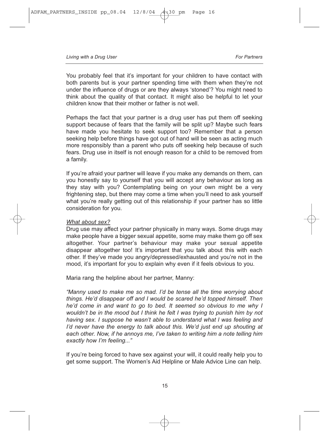You probably feel that it's important for your children to have contact with both parents but is your partner spending time with them when they're not under the influence of drugs or are they always 'stoned'? You might need to think about the quality of that contact. It might also be helpful to let your children know that their mother or father is not well.

Perhaps the fact that your partner is a drug user has put them off seeking support because of fears that the family will be split up? Maybe such fears have made you hesitate to seek support too? Remember that a person seeking help before things have got out of hand will be seen as acting much more responsibly than a parent who puts off seeking help because of such fears. Drug use in itself is not enough reason for a child to be removed from a family.

If you're afraid your partner will leave if you make any demands on them, can you honestly say to yourself that you will accept any behaviour as long as they stay with you? Contemplating being on your own might be a very frightening step, but there may come a time when you'll need to ask yourself what you're really getting out of this relationship if your partner has so little consideration for you.

#### *What about sex?*

Drug use may affect your partner physically in many ways. Some drugs may make people have a bigger sexual appetite, some may make them go off sex altogether. Your partner's behaviour may make your sexual appetite disappear altogether too! It's important that you talk about this with each other. If they've made you angry/depressed/exhausted and you're not in the mood, it's important for you to explain why even if it feels obvious to you.

Maria rang the helpline about her partner, Manny:

*"Manny used to make me so mad. I'd be tense all the time worrying about things. He'd disappear off and I would be scared he'd topped himself. Then he'd come in and want to go to bed. It seemed so obvious to me why I wouldn't be in the mood but I think he felt I was trying to punish him by not having sex. I suppose he wasn't able to understand what l was feeling and I'd never have the energy to talk about this. We'd just end up shouting at each other. Now, if he annoys me, I've taken to writing him a note telling him exactly how I'm feeling..."* 

If you're being forced to have sex against your will, it could really help you to get some support. The Women's Aid Helpline or Male Advice Line can help.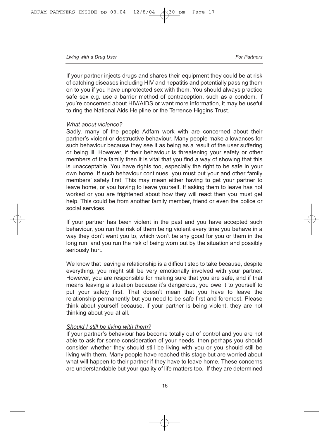If your partner injects drugs and shares their equipment they could be at risk of catching diseases including HIV and hepatitis and potentially passing them on to you if you have unprotected sex with them. You should always practice safe sex e.g. use a barrier method of contraception, such as a condom. If you're concerned about HIV/AIDS or want more information, it may be useful to ring the National Aids Helpline or the Terrence Higgins Trust.

#### *What about violence?*

Sadly, many of the people Adfam work with are concerned about their partner's violent or destructive behaviour. Many people make allowances for such behaviour because they see it as being as a result of the user suffering or being ill. However, if their behaviour is threatening your safety or other members of the family then it is vital that you find a way of showing that this is unacceptable. You have rights too, especially the right to be safe in your own home. If such behaviour continues, you must put your and other family members' safety first. This may mean either having to get your partner to leave home, or you having to leave yourself. If asking them to leave has not worked or you are frightened about how they will react then you must get help. This could be from another family member, friend or even the police or social services.

If your partner has been violent in the past and you have accepted such behaviour, you run the risk of them being violent every time you behave in a way they don't want you to, which won't be any good for you or them in the long run, and you run the risk of being worn out by the situation and possibly seriously hurt.

We know that leaving a relationship is a difficult step to take because, despite everything, you might still be very emotionally involved with your partner. However, you are responsible for making sure that you are safe, and if that means leaving a situation because it's dangerous, you owe it to yourself to put your safety first. That doesn't mean that you have to leave the relationship permanently but you need to be safe first and foremost. Please think about yourself because, if your partner is being violent, they are not thinking about you at all.

#### *Should I still be living with them?*

If your partner's behaviour has become totally out of control and you are not able to ask for some consideration of your needs, then perhaps you should consider whether they should still be living with you or you should still be living with them. Many people have reached this stage but are worried about what will happen to their partner if they have to leave home. These concerns are understandable but your quality of life matters too. If they are determined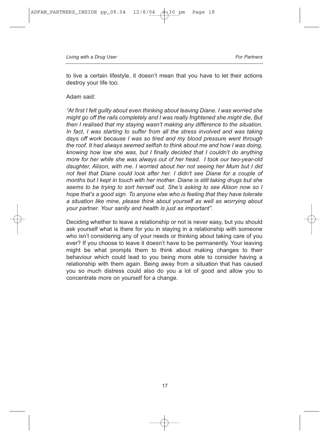to live a certain lifestyle, it doesn't mean that you have to let their actions destroy your life too.

#### Adam said:

*"At first I felt guilty about even thinking about leaving Diane. I was worried she might go off the rails completely and I was really frightened she might die, But then I realised that my staying wasn't making any difference to the situation. In fact, I was starting to suffer from all the stress involved and was taking days off work because I was so tired and my blood pressure went through the roof. It had always seemed selfish to think about me and how I was doing, knowing how low she was, but I finally decided that I couldn't do anything more for her while she was always out of her head. I took our two-year-old daughter, Alison, with me. I worried about her not seeing her Mum but I did not feel that Diane could look after her. I didn't see Diane for a couple of months but I kept in touch with her mother. Diane is still taking drugs but she seems to be trying to sort herself out. She's asking to see Alison now so I hope that's a good sign. To anyone else who is feeling that they have tolerate a situation like mine, please think about yourself as well as worrying about your partner. Your sanity and health is just as important".* 

Deciding whether to leave a relationship or not is never easy, but you should ask yourself what is there for you in staying in a relationship with someone who isn't considering any of your needs or thinking about taking care of you ever? If you choose to leave it doesn't have to be permanently. Your leaving might be what prompts them to think about making changes to their behaviour which could lead to you being more able to consider having a relationship with them again. Being away from a situation that has caused you so much distress could also do you a lot of good and allow you to concentrate more on yourself for a change.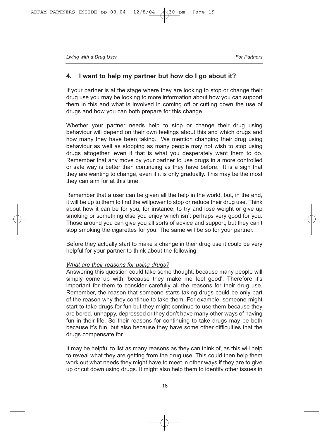## **4. I want to help my partner but how do I go about it?**

If your partner is at the stage where they are looking to stop or change their drug use you may be looking to more information about how you can support them in this and what is involved in coming off or cutting down the use of drugs and how you can both prepare for this change.

Whether your partner needs help to stop or change their drug using behaviour will depend on their own feelings about this and which drugs and how many they have been taking. We mention changing their drug using behaviour as well as stopping as many people may not wish to stop using drugs altogether, even if that is what you desperately want them to do. Remember that any move by your partner to use drugs in a more controlled or safe way is better than continuing as they have before. It is a sign that they are wanting to change, even if it is only gradually. This may be the most they can aim for at this time.

Remember that a user can be given all the help in the world, but, in the end, it will be up to them to find the willpower to stop or reduce their drug use. Think about how it can be for you, for instance, to try and lose weight or give up smoking or something else you enjoy which isn't perhaps very good for you. Those around you can give you all sorts of advice and support, but they can't stop smoking the cigarettes for you. The same will be so for your partner.

Before they actually start to make a change in their drug use it could be very helpful for your partner to think about the following:

#### *What are their reasons for using drugs?*

Answering this question could take some thought, because many people will simply come up with 'because they make me feel good'. Therefore it's important for them to consider carefully all the reasons for their drug use. Remember, the reason that someone starts taking drugs could be only part of the reason why they continue to take them. For example, someone might start to take drugs for fun but they might continue to use them because they are bored, unhappy, depressed or they don't have many other ways of having fun in their life. So their reasons for continuing to take drugs may be both because it's fun, but also because they have some other difficulties that the drugs compensate for.

It may be helpful to list as many reasons as they can think of, as this will help to reveal what they are getting from the drug use. This could then help them work out what needs they might have to meet in other ways if they are to give up or cut down using drugs. It might also help them to identify other issues in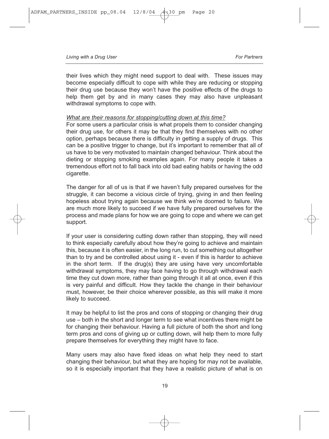their lives which they might need support to deal with. These issues may become especially difficult to cope with while they are reducing or stopping their drug use because they won't have the positive effects of the drugs to help them get by and in many cases they may also have unpleasant withdrawal symptoms to cope with.

#### *What are their reasons for stopping/cutting down at this time?*

For some users a particular crisis is what propels them to consider changing their drug use, for others it may be that they find themselves with no other option, perhaps because there is difficulty in getting a supply of drugs. This can be a positive trigger to change, but it's important to remember that all of us have to be very motivated to maintain changed behaviour. Think about the dieting or stopping smoking examples again. For many people it takes a tremendous effort not to fall back into old bad eating habits or having the odd cigarette.

The danger for all of us is that if we haven't fully prepared ourselves for the struggle, it can become a vicious circle of trying, giving in and then feeling hopeless about trying again because we think we're doomed to failure. We are much more likely to succeed if we have fully prepared ourselves for the process and made plans for how we are going to cope and where we can get support.

If your user is considering cutting down rather than stopping, they will need to think especially carefully about how they're going to achieve and maintain this, because it is often easier, in the long run, to cut something out altogether than to try and be controlled about using it - even if this is harder to achieve in the short term. If the drug(s) they are using have very uncomfortable withdrawal symptoms, they may face having to go through withdrawal each time they cut down more, rather than going through it all at once, even if this is very painful and difficult. How they tackle the change in their behaviour must, however, be their choice wherever possible, as this will make it more likely to succeed.

It may be helpful to list the pros and cons of stopping or changing their drug use – both in the short and longer term to see what incentives there might be for changing their behaviour. Having a full picture of both the short and long term pros and cons of giving up or cutting down, will help them to more fully prepare themselves for everything they might have to face.

Many users may also have fixed ideas on what help they need to start changing their behaviour, but what they are hoping for may not be available, so it is especially important that they have a realistic picture of what is on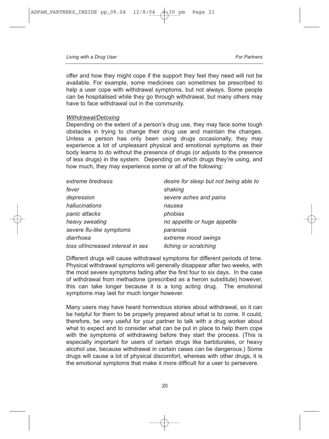offer and how they might cope if the support they feel they need will not be available. For example, some medicines can sometimes be prescribed to help a user cope with withdrawal symptoms, but not always. Some people can be hospitalised while they go through withdrawal, but many others may have to face withdrawal out in the community.

#### *Withdrawal/Detoxing*

Depending on the extent of a person's drug use, they may face some tough obstacles in trying to change their drug use and maintain the changes. Unless a person has only been using drugs occasionally, they may experience a lot of unpleasant physical and emotional symptoms as their body learns to do without the presence of drugs (or adjusts to the presence of less drugs) in the system. Depending on which drugs they're using, and how much, they may experience some or all of the following:

| extreme tiredness                 | desire for sleep but not being able to |  |
|-----------------------------------|----------------------------------------|--|
| fever                             | shaking                                |  |
| depression                        | severe aches and pains                 |  |
| hallucinations                    | nausea                                 |  |
| panic attacks                     | phobias                                |  |
| heavy sweating                    | no appetite or huge appetite           |  |
| severe flu-like symptoms          | paranoia                               |  |
| diarrhoea                         | extreme mood swings                    |  |
| loss of/increased interest in sex | <i>itching or scratching</i>           |  |
|                                   |                                        |  |

Different drugs will cause withdrawal symptoms for different periods of time. Physical withdrawal symptoms will generally disappear after two weeks, with the most severe symptoms fading after the first four to six days. In the case of withdrawal from methadone (prescribed as a heroin substitute) however, this can take longer because it is a long acting drug. The emotional symptoms may last for much longer however.

Many users may have heard horrendous stories about withdrawal, so it can be helpful for them to be properly prepared about what is to come. It could, therefore, be very useful for your partner to talk with a drug worker about what to expect and to consider what can be put in place to help them cope with the symptoms of withdrawing before they start the process. (This is especially important for users of certain drugs like barbiturates, or heavy alcohol use, because withdrawal in certain cases can be dangerous.) Some drugs will cause a lot of physical discomfort, whereas with other drugs, it is the emotional symptoms that make it more difficult for a user to persevere.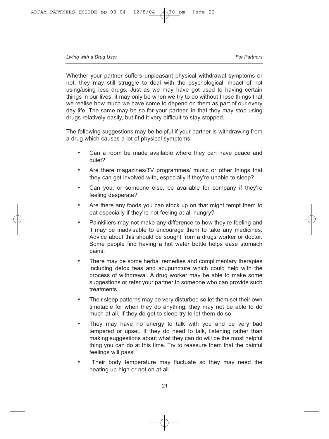Whether your partner suffers unpleasant physical withdrawal symptoms or not, they may still struggle to deal with the psychological impact of not using/using less drugs. Just as we may have got used to having certain things in our lives, it may only be when we try to do without those things that we realise how much we have come to depend on them as part of our every day life. The same may be so for your partner, in that they may stop using drugs relatively easily, but find it very difficult to stay stopped.

The following suggestions may be helpful if your partner is withdrawing from a drug which causes a lot of physical symptoms:

- Can a room be made available where they can have peace and quiet?
- Are there magazines/TV programmes/ music or other things that they can get involved with, especially if they're unable to sleep?
- Can you, or someone else, be available for company if they're feeling desperate?
- Are there any foods you can stock up on that might tempt them to eat especially if they're not feeling at all hungry?
- Painkillers may not make any difference to how they're feeling and it may be inadvisable to encourage them to take any medicines. Advice about this should be sought from a drugs worker or doctor. Some people find having a hot water bottle helps ease stomach pains.
- There may be some herbal remedies and complimentary therapies including detox teas and acupuncture which could help with the process of withdrawal. A drug worker may be able to make some suggestions or refer your partner to someone who can provide such treatments.
- Their sleep patterns may be very disturbed so let them set their own timetable for when they do anything, they may not be able to do much at all. If they do get to sleep try to let them do so.
- They may have no energy to talk with you and be very bad tempered or upset. If they do need to talk, listening rather than making suggestions about what they can do will be the most helpful thing you can do at this time. Try to reassure them that the painful feelings will pass.
- Their body temperature may fluctuate so they may need the heating up high or not on at all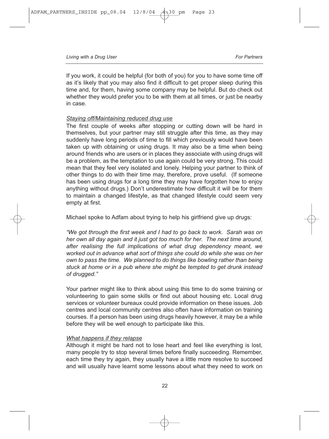If you work, it could be helpful (for both of you) for you to have some time off as it's likely that you may also find it difficult to get proper sleep during this time and, for them, having some company may be helpful. But do check out whether they would prefer you to be with them at all times, or just be nearby in case.

#### *Staying off/Maintaining reduced drug use*

The first couple of weeks after stopping or cutting down will be hard in themselves, but your partner may still struggle after this time, as they may suddenly have long periods of time to fill which previously would have been taken up with obtaining or using drugs. It may also be a time when being around friends who are users or in places they associate with using drugs will be a problem, as the temptation to use again could be very strong. This could mean that they feel very isolated and lonely. Helping your partner to think of other things to do with their time may, therefore, prove useful. (If someone has been using drugs for a long time they may have forgotten how to enjoy anything without drugs.) Don't underestimate how difficult it will be for them to maintain a changed lifestyle, as that changed lifestyle could seem very empty at first.

Michael spoke to Adfam about trying to help his girlfriend give up drugs:

*"We got through the first week and I had to go back to work. Sarah was on her own all day again and it just got too much for her. The next time around, after realising the full implications of what drug dependency meant, we worked out in advance what sort of things she could do while she was on her own to pass the time. We planned to do things like bowling rather than being stuck at home or in a pub where she might be tempted to get drunk instead of drugged."* 

Your partner might like to think about using this time to do some training or volunteering to gain some skills or find out about housing etc. Local drug services or volunteer bureaux could provide information on these issues. Job centres and local community centres also often have information on training courses. If a person has been using drugs heavily however, it may be a while before they will be well enough to participate like this.

#### *What happens if they relapse*

Although it might be hard not to lose heart and feel like everything is lost, many people try to stop several times before finally succeeding. Remember, each time they try again, they usually have a little more resolve to succeed and will usually have learnt some lessons about what they need to work on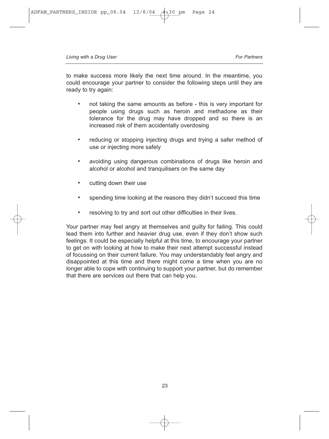to make success more likely the next time around. In the meantime, you could encourage your partner to consider the following steps until they are ready to try again:

- not taking the same amounts as before this is very important for people using drugs such as heroin and methadone as their tolerance for the drug may have dropped and so there is an increased risk of them accidentally overdosing
- reducing or stopping injecting drugs and trying a safer method of use or injecting more safely
- avoiding using dangerous combinations of drugs like heroin and alcohol or alcohol and tranquilisers on the same day
- cutting down their use
- spending time looking at the reasons they didn't succeed this time
- resolving to try and sort out other difficulties in their lives.

Your partner may feel angry at themselves and guilty for failing. This could lead them into further and heavier drug use, even if they don't show such feelings. It could be especially helpful at this time, to encourage your partner to get on with looking at how to make their next attempt successful instead of focussing on their current failure. You may understandably feel angry and disappointed at this time and there might come a time when you are no longer able to cope with continuing to support your partner, but do remember that there are services out there that can help you.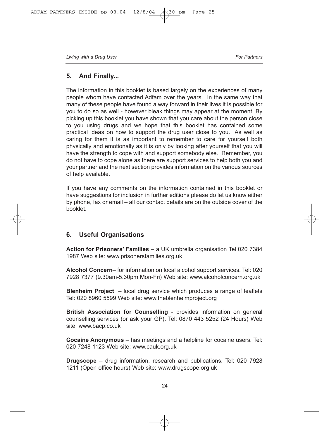## **5. And Finally...**

The information in this booklet is based largely on the experiences of many people whom have contacted Adfam over the years. In the same way that many of these people have found a way forward in their lives it is possible for you to do so as well - however bleak things may appear at the moment. By picking up this booklet you have shown that you care about the person close to you using drugs and we hope that this booklet has contained some practical ideas on how to support the drug user close to you. As well as caring for them it is as important to remember to care for yourself both physically and emotionally as it is only by looking after yourself that you will have the strength to cope with and support somebody else. Remember, you do not have to cope alone as there are support services to help both you and your partner and the next section provides information on the various sources of help available.

If you have any comments on the information contained in this booklet or have suggestions for inclusion in further editions please do let us know either by phone, fax or email – all our contact details are on the outside cover of the booklet.

## **6. Useful Organisations**

**Action for Prisoners' Families** – a UK umbrella organisation Tel 020 7384 1987 Web site: www.prisonersfamilies.org.uk

**Alcohol Concern**– for information on local alcohol support services. Tel: 020 7928 7377 (9.30am-5.30pm Mon-Fri) Web site: www.alcoholconcern.org.uk

**Blenheim Project** – local drug service which produces a range of leaflets Tel: 020 8960 5599 Web site: www.theblenheimproject.org

**British Association for Counselling** - provides information on general counselling services (or ask your GP). Tel: 0870 443 5252 (24 Hours) Web site: www.bacp.co.uk

**Cocaine Anonymous** – has meetings and a helpline for cocaine users. Tel: 020 7248 1123 Web site: www.cauk.org.uk

**Drugscope** – drug information, research and publications. Tel: 020 7928 1211 (Open office hours) Web site: www.drugscope.org.uk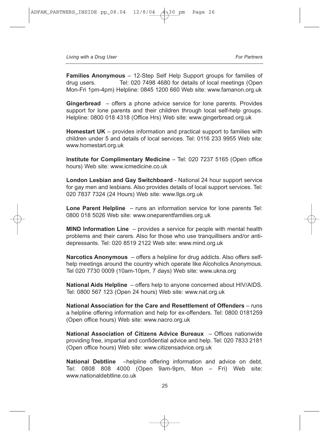**Families Anonymous** – 12-Step Self Help Support groups for families of drug users. Tel: 020 7498 4680 for details of local meetings (Open Mon-Fri 1pm-4pm) Helpline: 0845 1200 660 Web site: www.famanon.org.uk

**Gingerbread** – offers a phone advice service for lone parents. Provides support for lone parents and their children through local self-help groups. Helpline: 0800 018 4318 (Office Hrs) Web site: www.gingerbread.org.uk

**Homestart UK** – provides information and practical support to families with children under 5 and details of local services. Tel: 0116 233 9955 Web site: www.homestart.org.uk

**Institute for Complimentary Medicine** – Tel: 020 7237 5165 (Open office hours) Web site: www.icmedicine.co.uk

**London Lesbian and Gay Switchboard** - National 24 hour support service for gay men and lesbians. Also provides details of local support services. Tel: 020 7837 7324 (24 Hours) Web site: www.llgs.org.uk

**Lone Parent Helpline** – runs an information service for lone parents Tel: 0800 018 5026 Web site: www.oneparentfamilies.org.uk

**MIND Information Line** – provides a service for people with mental health problems and their carers. Also for those who use tranquillisers and/or antidepressants. Tel: 020 8519 2122 Web site: www.mind.org.uk

**Narcotics Anonymous** – offers a helpline for drug addicts. Also offers selfhelp meetings around the country which operate like Alcoholics Anonymous. Tel 020 7730 0009 (10am-10pm, 7 days) Web site: www.ukna.org

**National Aids Helpline** – offers help to anyone concerned about HIV/AIDS. Tel: 0800 567 123 (Open 24 hours) Web site: www.nat.org.uk

**National Association for the Care and Resettlement of Offenders** – runs a helpline offering information and help for ex-offenders. Tel: 0800 0181259 (Open office hours) Web site: www.nacro.org.uk

**National Association of Citizens Advice Bureaux** – Offices nationwide providing free, impartial and confidential advice and help. Tel: 020 7833 2181 (Open office hours) Web site: www.citizensadvice.org.uk

**National Debtline** –helpline offering information and advice on debt. Tel: 0808 808 4000 (Open 9am-9pm, Mon – Fri) Web site: www.nationaldebtline.co.uk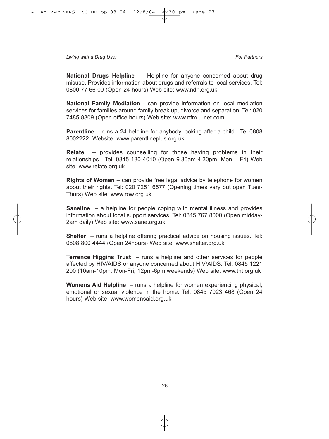**National Drugs Helpline** – Helpline for anyone concerned about drug misuse. Provides information about drugs and referrals to local services. Tel: 0800 77 66 00 (Open 24 hours) Web site: www.ndh.org.uk

**National Family Mediation** - can provide information on local mediation services for families around family break up, divorce and separation. Tel: 020 7485 8809 (Open office hours) Web site: www.nfm.u-net.com

**Parentline** – runs a 24 helpline for anybody looking after a child. Tel 0808 8002222 Website: www.parentlineplus.org.uk

**Relate** – provides counselling for those having problems in their relationships. Tel: 0845 130 4010 (Open 9.30am-4.30pm, Mon – Fri) Web site: www.relate.org.uk

**Rights of Women** – can provide free legal advice by telephone for women about their rights. Tel: 020 7251 6577 (Opening times vary but open Tues-Thurs) Web site: www.row.org.uk

**Saneline** – a helpline for people coping with mental illness and provides information about local support services. Tel: 0845 767 8000 (Open midday-2am daily) Web site: www.sane.org.uk

**Shelter** – runs a helpline offering practical advice on housing issues. Tel: 0808 800 4444 (Open 24hours) Web site: www.shelter.org.uk

**Terrence Higgins Trust** – runs a helpline and other services for people affected by HIV/AIDS or anyone concerned about HIV/AIDS. Tel: 0845 1221 200 (10am-10pm, Mon-Fri; 12pm-6pm weekends) Web site: www.tht.org.uk

**Womens Aid Helpline** – runs a helpline for women experiencing physical, emotional or sexual violence in the home. Tel: 0845 7023 468 (Open 24 hours) Web site: www.womensaid.org.uk